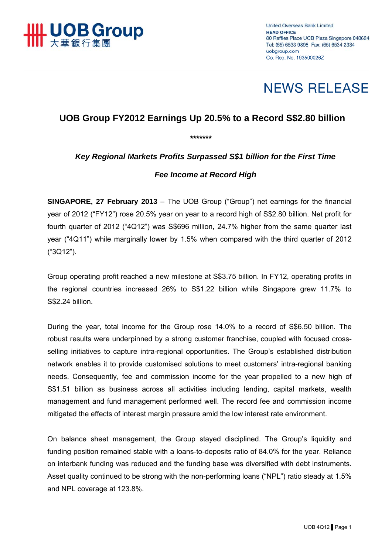

# **NEWS RELEASE**

# **UOB Group FY2012 Earnings Up 20.5% to a Record S\$2.80 billion**

*\*\*\*\*\*\*\** 

# *Key Regional Markets Profits Surpassed S\$1 billion for the First Time*

## *Fee Income at Record High*

**SINGAPORE, 27 February 2013** – The UOB Group ("Group") net earnings for the financial year of 2012 ("FY12") rose 20.5% year on year to a record high of S\$2.80 billion. Net profit for fourth quarter of 2012 ("4Q12") was S\$696 million, 24.7% higher from the same quarter last year ("4Q11") while marginally lower by 1.5% when compared with the third quarter of 2012 ("3Q12").

Group operating profit reached a new milestone at S\$3.75 billion. In FY12, operating profits in the regional countries increased 26% to S\$1.22 billion while Singapore grew 11.7% to S\$2.24 billion.

During the year, total income for the Group rose 14.0% to a record of S\$6.50 billion. The robust results were underpinned by a strong customer franchise, coupled with focused crossselling initiatives to capture intra-regional opportunities. The Group's established distribution network enables it to provide customised solutions to meet customers' intra-regional banking needs. Consequently, fee and commission income for the year propelled to a new high of S\$1.51 billion as business across all activities including lending, capital markets, wealth management and fund management performed well. The record fee and commission income mitigated the effects of interest margin pressure amid the low interest rate environment.

On balance sheet management, the Group stayed disciplined. The Group's liquidity and funding position remained stable with a loans-to-deposits ratio of 84.0% for the year. Reliance on interbank funding was reduced and the funding base was diversified with debt instruments. Asset quality continued to be strong with the non-performing loans ("NPL") ratio steady at 1.5% and NPL coverage at 123.8%.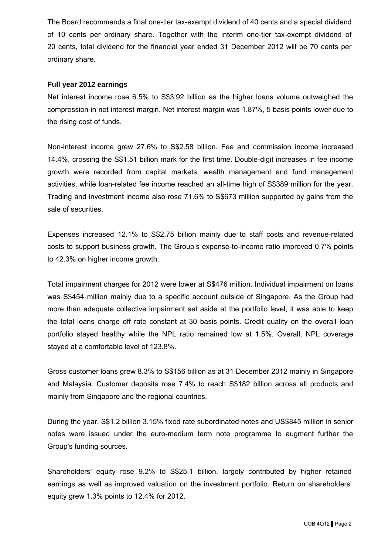The Board recommends a final one-tier tax-exempt dividend of 40 cents and a special dividend of 10 cents per ordinary share. Together with the interim one-tier tax-exempt dividend of 20 cents, total dividend for the financial year ended 31 December 2012 will be 70 cents per ordinary share.

#### **Full year 2012 earnings**

Net interest income rose 6.5% to S\$3.92 billion as the higher loans volume outweighed the compression in net interest margin. Net interest margin was 1.87%, 5 basis points lower due to the rising cost of funds.

Non-interest income grew 27.6% to S\$2.58 billion. Fee and commission income increased 14.4%, crossing the S\$1.51 billion mark for the first time. Double-digit increases in fee income growth were recorded from capital markets, wealth management and fund management activities, while loan-related fee income reached an all-time high of S\$389 million for the year. Trading and investment income also rose 71.6% to S\$673 million supported by gains from the sale of securities.

Expenses increased 12.1% to S\$2.75 billion mainly due to staff costs and revenue-related costs to support business growth. The Group's expense-to-income ratio improved 0.7% points to 42.3% on higher income growth.

Total impairment charges for 2012 were lower at S\$476 million. Individual impairment on loans was S\$454 million mainly due to a specific account outside of Singapore. As the Group had more than adequate collective impairment set aside at the portfolio level, it was able to keep the total loans charge off rate constant at 30 basis points. Credit quality on the overall loan portfolio stayed healthy while the NPL ratio remained low at 1.5%. Overall, NPL coverage stayed at a comfortable level of 123.8%.

Gross customer loans grew 8.3% to S\$156 billion as at 31 December 2012 mainly in Singapore and Malaysia. Customer deposits rose 7.4% to reach S\$182 billion across all products and mainly from Singapore and the regional countries.

During the year, S\$1.2 billion 3.15% fixed rate subordinated notes and US\$845 million in senior notes were issued under the euro-medium term note programme to augment further the Group's funding sources.

Shareholders' equity rose 9.2% to S\$25.1 billion, largely contributed by higher retained earnings as well as improved valuation on the investment portfolio. Return on shareholders' equity grew 1.3% points to 12.4% for 2012.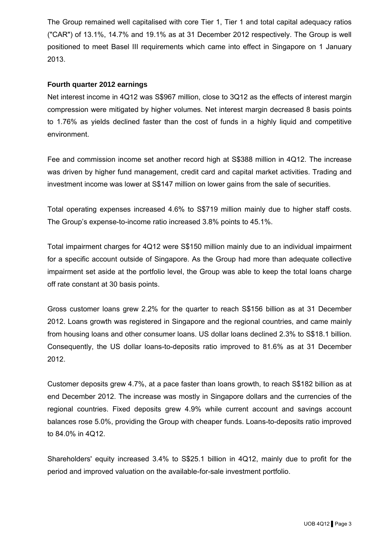The Group remained well capitalised with core Tier 1, Tier 1 and total capital adequacy ratios ("CAR") of 13.1%, 14.7% and 19.1% as at 31 December 2012 respectively. The Group is well positioned to meet Basel III requirements which came into effect in Singapore on 1 January 2013.

#### **Fourth quarter 2012 earnings**

Net interest income in 4Q12 was S\$967 million, close to 3Q12 as the effects of interest margin compression were mitigated by higher volumes. Net interest margin decreased 8 basis points to 1.76% as yields declined faster than the cost of funds in a highly liquid and competitive environment.

Fee and commission income set another record high at S\$388 million in 4Q12. The increase was driven by higher fund management, credit card and capital market activities. Trading and investment income was lower at S\$147 million on lower gains from the sale of securities.

Total operating expenses increased 4.6% to S\$719 million mainly due to higher staff costs. The Group's expense-to-income ratio increased 3.8% points to 45.1%.

Total impairment charges for 4Q12 were S\$150 million mainly due to an individual impairment for a specific account outside of Singapore. As the Group had more than adequate collective impairment set aside at the portfolio level, the Group was able to keep the total loans charge off rate constant at 30 basis points.

Gross customer loans grew 2.2% for the quarter to reach S\$156 billion as at 31 December 2012. Loans growth was registered in Singapore and the regional countries, and came mainly from housing loans and other consumer loans. US dollar loans declined 2.3% to S\$18.1 billion. Consequently, the US dollar loans-to-deposits ratio improved to 81.6% as at 31 December 2012.

Customer deposits grew 4.7%, at a pace faster than loans growth, to reach S\$182 billion as at end December 2012. The increase was mostly in Singapore dollars and the currencies of the regional countries. Fixed deposits grew 4.9% while current account and savings account balances rose 5.0%, providing the Group with cheaper funds. Loans-to-deposits ratio improved to 84.0% in 4Q12.

Shareholders' equity increased 3.4% to S\$25.1 billion in 4Q12, mainly due to profit for the period and improved valuation on the available-for-sale investment portfolio.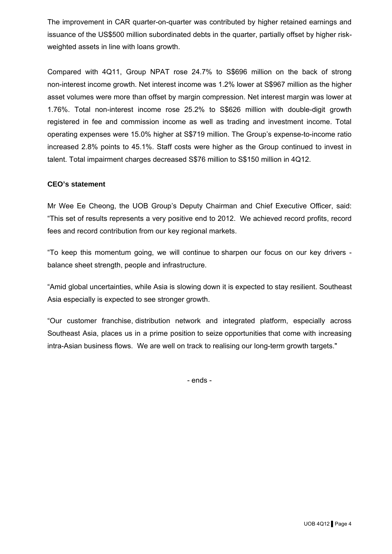The improvement in CAR quarter-on-quarter was contributed by higher retained earnings and issuance of the US\$500 million subordinated debts in the quarter, partially offset by higher riskweighted assets in line with loans growth.

Compared with 4Q11, Group NPAT rose 24.7% to S\$696 million on the back of strong non-interest income growth. Net interest income was 1.2% lower at S\$967 million as the higher asset volumes were more than offset by margin compression. Net interest margin was lower at 1.76%. Total non-interest income rose 25.2% to S\$626 million with double-digit growth registered in fee and commission income as well as trading and investment income. Total operating expenses were 15.0% higher at S\$719 million. The Group's expense-to-income ratio increased 2.8% points to 45.1%. Staff costs were higher as the Group continued to invest in talent. Total impairment charges decreased S\$76 million to S\$150 million in 4Q12.

### **CEO's statement**

Mr Wee Ee Cheong, the UOB Group's Deputy Chairman and Chief Executive Officer, said: "This set of results represents a very positive end to 2012. We achieved record profits, record fees and record contribution from our key regional markets.

"To keep this momentum going, we will continue to sharpen our focus on our key drivers balance sheet strength, people and infrastructure.

"Amid global uncertainties, while Asia is slowing down it is expected to stay resilient. Southeast Asia especially is expected to see stronger growth.

"Our customer franchise, distribution network and integrated platform, especially across Southeast Asia, places us in a prime position to seize opportunities that come with increasing intra-Asian business flows. We are well on track to realising our long-term growth targets."

- ends -